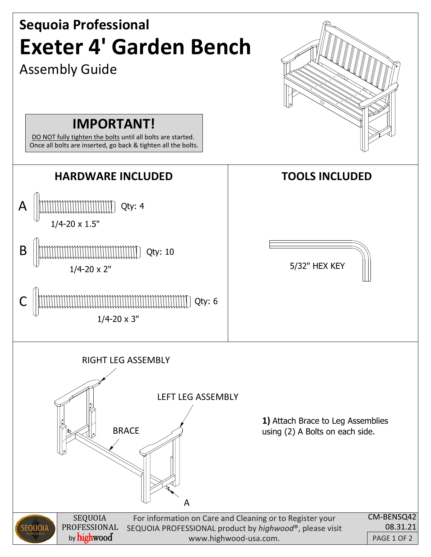